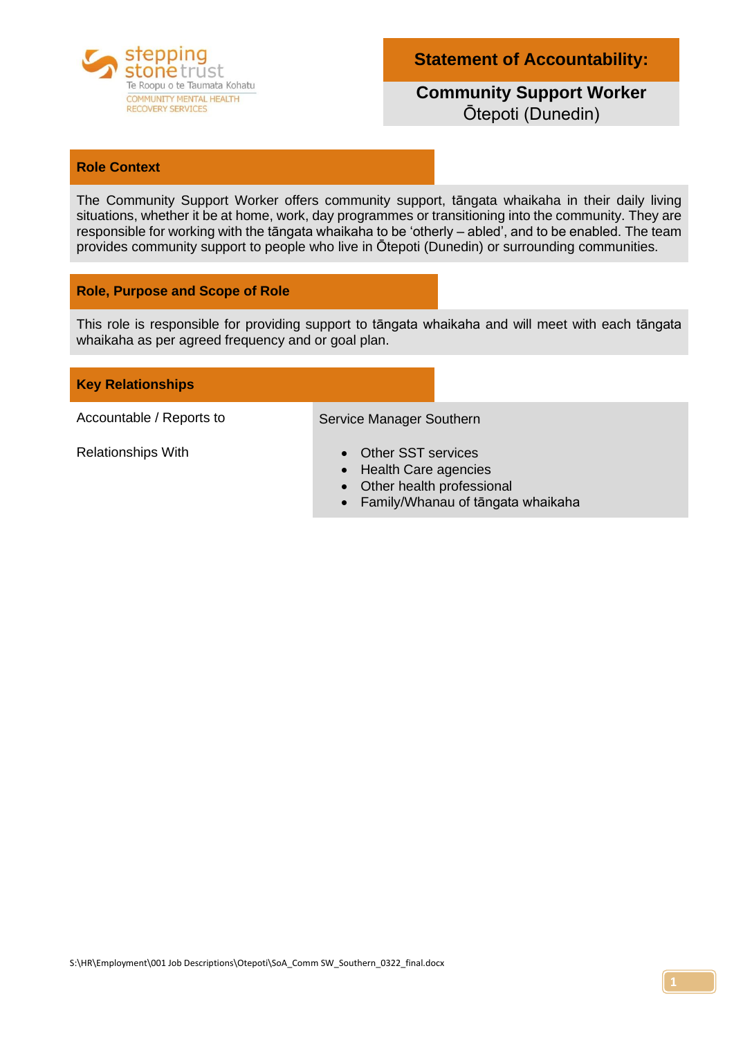

**Statement of Accountability:**

## **Community Support Worker**  Ōtepoti (Dunedin)

#### **Role Context**

The Community Support Worker offers community support, tāngata whaikaha in their daily living situations, whether it be at home, work, day programmes or transitioning into the community. They are responsible for working with the tāngata whaikaha to be 'otherly – abled', and to be enabled. The team provides community support to people who live in Ōtepoti (Dunedin) or surrounding communities.

#### **Role, Purpose and Scope of Role**

This role is responsible for providing support to tāngata whaikaha and will meet with each tāngata whaikaha as per agreed frequency and or goal plan.

#### **Key Relationships**

Accountable / Reports to Service Manager Southern

- 
- Relationships With **•** Other SST services
	- Health Care agencies
	- Other health professional
	- Family/Whanau of tāngata whaikaha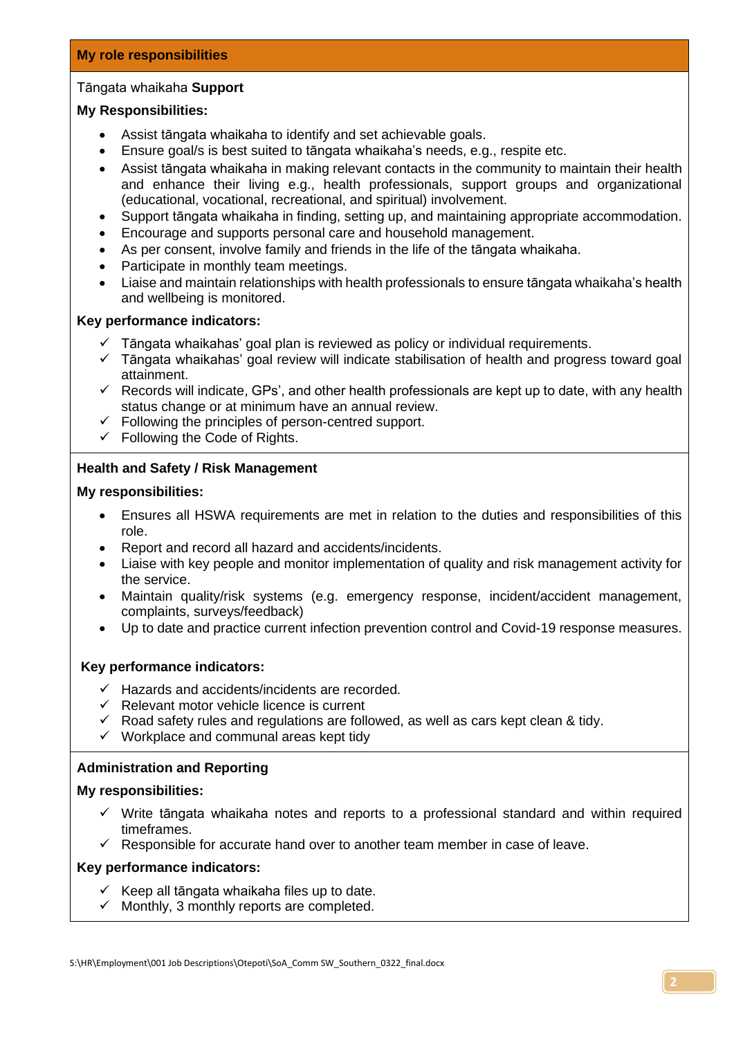#### Tāngata whaikaha **Support**

#### **My Responsibilities:**

- Assist tāngata whaikaha to identify and set achievable goals.
- Ensure goal/s is best suited to tāngata whaikaha's needs, e.g., respite etc.
- Assist tāngata whaikaha in making relevant contacts in the community to maintain their health and enhance their living e.g., health professionals, support groups and organizational (educational, vocational, recreational, and spiritual) involvement.
- Support tāngata whaikaha in finding, setting up, and maintaining appropriate accommodation.
- Encourage and supports personal care and household management.
- As per consent, involve family and friends in the life of the tāngata whaikaha.
- Participate in monthly team meetings.
- Liaise and maintain relationships with health professionals to ensure tāngata whaikaha's health and wellbeing is monitored.

#### **Key performance indicators:**

- $\checkmark$  Tāngata whaikahas' goal plan is reviewed as policy or individual requirements.
- ✓ Tāngata whaikahas' goal review will indicate stabilisation of health and progress toward goal attainment.
- $\checkmark$  Records will indicate, GPs', and other health professionals are kept up to date, with any health status change or at minimum have an annual review.
- $\checkmark$  Following the principles of person-centred support.
- $\checkmark$  Following the Code of Rights.

#### **Health and Safety / Risk Management**

#### **My responsibilities:**

- Ensures all HSWA requirements are met in relation to the duties and responsibilities of this role.
- Report and record all hazard and accidents/incidents.
- Liaise with key people and monitor implementation of quality and risk management activity for the service.
- Maintain quality/risk systems (e.g. emergency response, incident/accident management, complaints, surveys/feedback)
- Up to date and practice current infection prevention control and Covid-19 response measures.

#### **Key performance indicators:**

- ✓ Hazards and accidents/incidents are recorded.
- ✓ Relevant motor vehicle licence is current
- $\checkmark$  Road safety rules and regulations are followed, as well as cars kept clean & tidy.
- $\checkmark$  Workplace and communal areas kept tidy

#### **Administration and Reporting**

#### **My responsibilities:**

- $\checkmark$  Write tāngata whaikaha notes and reports to a professional standard and within required timeframes.
- $\checkmark$  Responsible for accurate hand over to another team member in case of leave.

#### **Key performance indicators:**

- $\checkmark$  Keep all tāngata whaikaha files up to date.
- $\checkmark$  Monthly, 3 monthly reports are completed.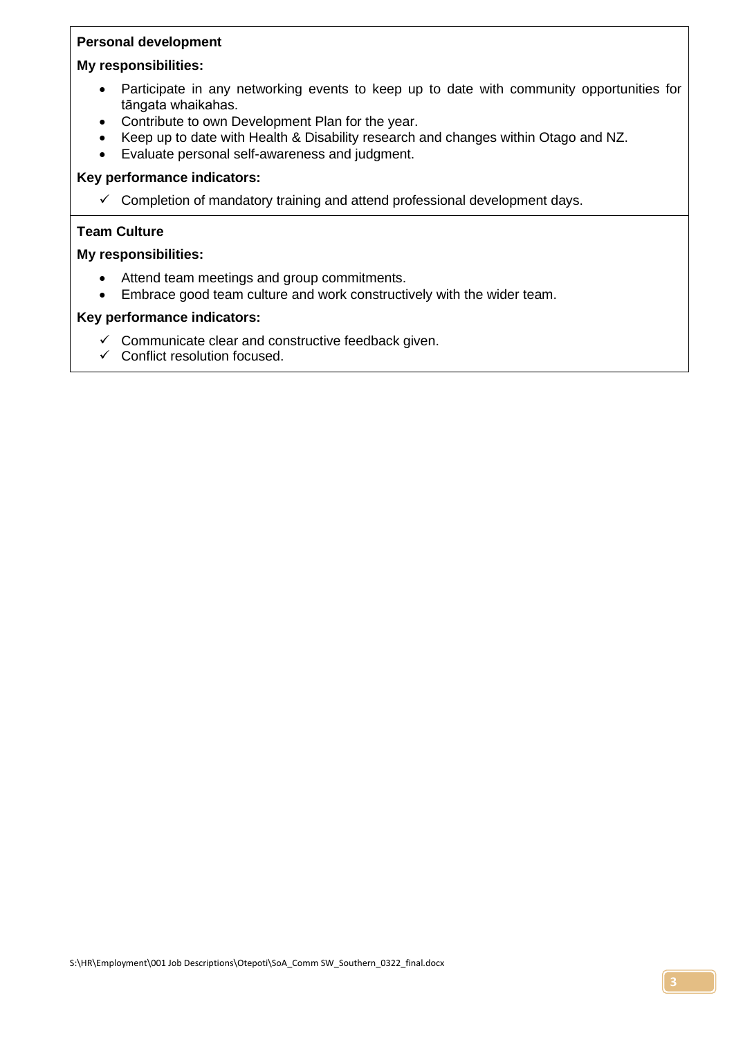## **Personal development**

#### **My responsibilities:**

- Participate in any networking events to keep up to date with community opportunities for tāngata whaikahas.
- Contribute to own Development Plan for the year.
- Keep up to date with Health & Disability research and changes within Otago and NZ.
- Evaluate personal self-awareness and judgment.

## **Key performance indicators:**

 $\checkmark$  Completion of mandatory training and attend professional development days.

## **Team Culture**

## **My responsibilities:**

- Attend team meetings and group commitments.
- Embrace good team culture and work constructively with the wider team.

## **Key performance indicators:**

- ✓ Communicate clear and constructive feedback given.
- $\checkmark$  Conflict resolution focused.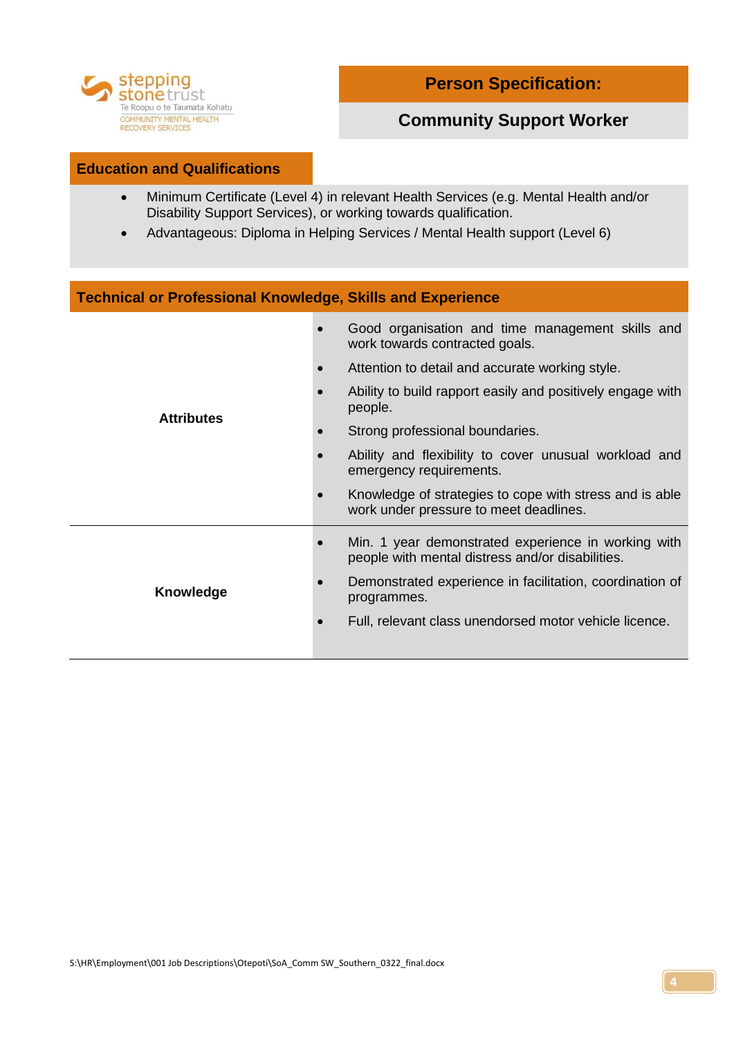

# **Community Support Worker**

#### **Education and Qualifications**

- Minimum Certificate (Level 4) in relevant Health Services (e.g. Mental Health and/or Disability Support Services), or working towards qualification.
- Advantageous: Diploma in Helping Services / Mental Health support (Level 6)

| <b>Technical or Professional Knowledge, Skills and Experience</b> |                                                                                                         |  |
|-------------------------------------------------------------------|---------------------------------------------------------------------------------------------------------|--|
| <b>Attributes</b>                                                 | Good organisation and time management skills and<br>work towards contracted goals.                      |  |
|                                                                   | Attention to detail and accurate working style.                                                         |  |
|                                                                   | Ability to build rapport easily and positively engage with<br>people.                                   |  |
|                                                                   | Strong professional boundaries.                                                                         |  |
|                                                                   | Ability and flexibility to cover unusual workload and<br>emergency requirements.                        |  |
|                                                                   | Knowledge of strategies to cope with stress and is able<br>work under pressure to meet deadlines.       |  |
| Knowledge                                                         | Min. 1 year demonstrated experience in working with<br>people with mental distress and/or disabilities. |  |
|                                                                   | Demonstrated experience in facilitation, coordination of<br>programmes.                                 |  |
|                                                                   | Full, relevant class unendorsed motor vehicle licence.                                                  |  |